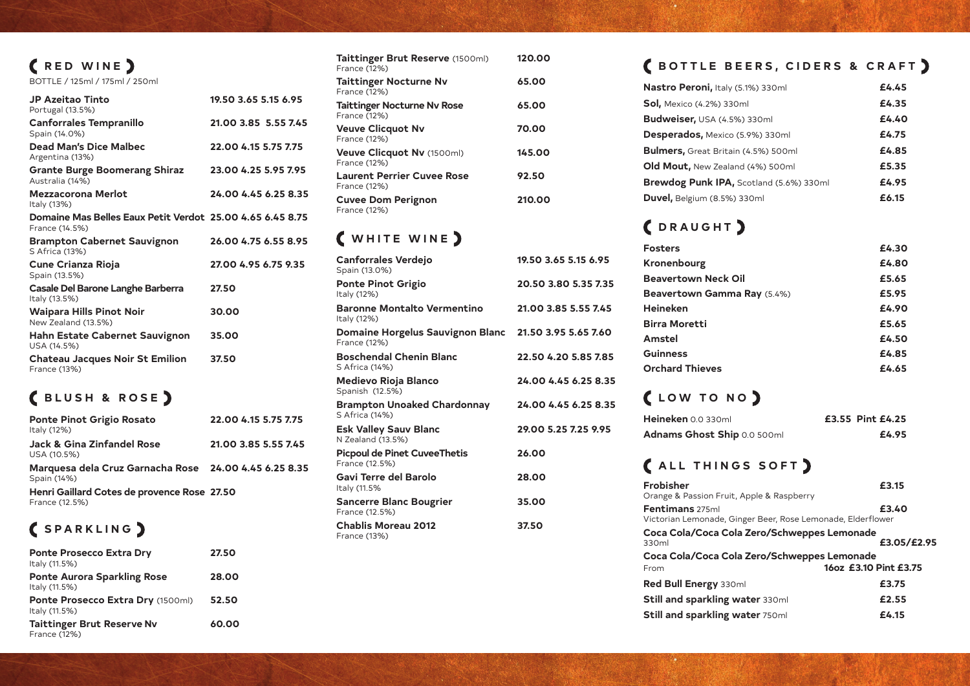| (RED WINE)<br>BOTTLE / 125ml / 175ml / 250ml                                |                      |
|-----------------------------------------------------------------------------|----------------------|
| <b>JP Azeitao Tinto</b><br>Portugal (13.5%)                                 | 19.50 3.65 5.15 6.95 |
| <b>Canforrales Tempranillo</b><br>Spain (14.0%)                             | 21.00 3.85 5.55 7.45 |
| <b>Dead Man's Dice Malbec</b><br>Argentina (13%)                            | 22.00 4.15 5.75 7.75 |
| <b>Grante Burge Boomerang Shiraz</b><br>Australia (14%)                     | 23.00 4.25 5.95 7.95 |
| <b>Mezzacorona Merlot</b><br>Italy (13%)                                    | 24.00 4.45 6.25 8.35 |
| Domaine Mas Belles Eaux Petit Verdot 25.00 4.65 6.45 8.75<br>France (14.5%) |                      |
| <b>Brampton Cabernet Sauvignon</b><br>S Africa (13%)                        | 26.00 4.75 6.55 8.95 |
| <b>Cune Crianza Rioja</b><br>Spain (13.5%)                                  | 27.00 4.95 6.75 9.35 |
| Casale Del Barone Langhe Barberra<br>Italy (13.5%)                          | 27.50                |
| <b>Waipara Hills Pinot Noir</b><br>New Zealand (13.5%)                      | 30.00                |
| Hahn Estate Cabernet Sauvignon<br>USA (14.5%)                               | 35.00                |
| <b>Chateau Jacques Noir St Emilion</b><br>France (13%)                      | 37.50                |

## **BLUSH & ROSE**

| <b>Ponte Pinot Grigio Rosato</b><br>Italy (12%)                      | 22.00 4.15 5.75 7.75 |
|----------------------------------------------------------------------|----------------------|
| <b>Jack &amp; Gina Zinfandel Rose</b><br>USA (10.5%)                 | 21.00 3.85 5.55 7.45 |
| Marquesa dela Cruz Garnacha Rose 24.00 4.45 6.25 8.35<br>Spain (14%) |                      |
| Henri Gaillard Cotes de provence Rose 27.50<br>France (12.5%)        |                      |

## **SPARKLING**

| <b>Ponte Prosecco Extra Dry</b><br>Italy (11.5%)         | 27.50 |
|----------------------------------------------------------|-------|
| <b>Ponte Aurora Sparkling Rose</b><br>Italy (11.5%)      | 28.00 |
| Ponte Prosecco Extra Dry (1500ml)<br>Italy (11.5%)       | 52.50 |
| <b>Taittinger Brut Reserve Nv</b><br><b>France (12%)</b> | 60.00 |

| Taittinger Brut Reserve (1500ml)<br>France (12%)   | 120.00 |
|----------------------------------------------------|--------|
| <b>Taittinger Nocturne Nv</b><br>France (12%)      | 65.00  |
| <b>Taittinger Nocturne Nv Rose</b><br>France (12%) | 65.00  |
| <b>Veuve Clicquot Nv</b><br>France (12%)           | 70.00  |
| Veuve Clicquot Nv (1500ml)<br>France (12%)         | 145.00 |
| <b>Laurent Perrier Cuvee Rose</b><br>France (12%)  | 92.50  |
| <b>Cuvee Dom Perignon</b><br>France (12%)          | 210.00 |

## **WHITE WINE**

| <b>Canforrales Verdejo</b><br>Spain (13.0%)             | 19.50 3.65 5.15 6.95 |
|---------------------------------------------------------|----------------------|
| <b>Ponte Pinot Grigio</b><br>Italy (12%)                | 20.50 3.80 5.35 7.35 |
| <b>Baronne Montalto Vermentino</b><br>Italy (12%)       | 21.00 3.85 5.55 7.45 |
| <b>Domaine Horgelus Sauvignon Blanc</b><br>France (12%) | 21.50 3.95 5.65 7.60 |
| <b>Boschendal Chenin Blanc</b><br>S Africa (14%)        | 22.50 4.20 5.85 7.85 |
| <b>Medievo Rioja Blanco</b><br>Spanish (12.5%)          | 24.00 4.45 6.25 8.35 |
| <b>Brampton Unoaked Chardonnay</b><br>S Africa (14%)    | 24.00 4.45 6.25 8.35 |
| <b>Esk Valley Sauv Blanc</b><br>N Zealand (13.5%)       | 29.00 5.25 7.25 9.95 |
| <b>Picpoul de Pinet CuveeThetis</b><br>France (12.5%)   | 26.00                |
| <b>Gavi Terre del Barolo</b><br>Italy (11.5%            | 28.00                |
| <b>Sancerre Blanc Bougrier</b><br>France (12.5%)        | 35.00                |
| <b>Chablis Moreau 2012</b><br>France (13%)              | 37.50                |

#### **C**BOTTLE B

#### **DRAUGHT**

| <b>Fosters</b>         |
|------------------------|
| Kronenbourg            |
| Beavertown Neck        |
| <b>Beavertown Gam</b>  |
| Heineken               |
| <b>Birra Moretti</b>   |
| Amstel                 |
| <b>Guinness</b>        |
| <b>Orchard Thieves</b> |

#### **LOW TO NO**

#### **CALL THING**

| ( BOTTLE BEERS, CIDERS & CRAFT )                                               |                       |
|--------------------------------------------------------------------------------|-----------------------|
| Nastro Peroni, Italy (5.1%) 330ml                                              | £4.45                 |
| <b>Sol, Mexico (4.2%) 330ml</b>                                                | £4.35                 |
| Budweiser, USA (4.5%) 330ml                                                    | £4.40                 |
| <b>Desperados, Mexico (5.9%) 330ml</b>                                         | £4.75                 |
| <b>Bulmers, Great Britain (4.5%) 500ml</b>                                     | £4.85                 |
| Old Mout, New Zealand (4%) 500ml                                               | £5.35                 |
| <b>Brewdog Punk IPA, Scotland (5.6%) 330ml</b>                                 | £4.95                 |
| Duvel, Belgium (8.5%) 330ml                                                    | £6.15                 |
| (DRAUGHT)                                                                      |                       |
| <b>Fosters</b>                                                                 | £4.30                 |
| Kronenbourg                                                                    | £4.80                 |
| <b>Beavertown Neck Oil</b>                                                     | £5.65                 |
| Beavertown Gamma Ray (5.4%)                                                    | £5.95                 |
| <b>Heineken</b>                                                                | £4.90                 |
| <b>Birra Moretti</b>                                                           | £5.65                 |
| <b>Amstel</b>                                                                  | £4.50                 |
| <b>Guinness</b>                                                                | £4.85                 |
| <b>Orchard Thieves</b>                                                         | £4.65                 |
| (LOW TO NO)                                                                    |                       |
| Heineken 0.0 330ml                                                             | £3.55 Pint £4.25      |
| Adnams Ghost Ship 0.0 500ml                                                    | £4.95                 |
| (ALL THINGS SOFT)                                                              |                       |
| <b>Frobisher</b><br>Orange & Passion Fruit, Apple & Raspberry                  | £3.15                 |
| Fentimans 275ml<br>Victorian Lemonade, Ginger Beer, Rose Lemonade, Elderflower | £3.40                 |
| Coca Cola/Coca Cola Zero/Schweppes Lemonade<br>330ml                           | £3.05/£2.95           |
| Coca Cola/Coca Cola Zero/Schweppes Lemonade                                    |                       |
| From                                                                           | 16oz £3.10 Pint £3.75 |
| Red Bull Energy 330ml                                                          | £3.75                 |
| <b>Still and sparkling water 330ml</b>                                         | £2.55                 |
| Still and sparkling water 750ml                                                | £4.15                 |